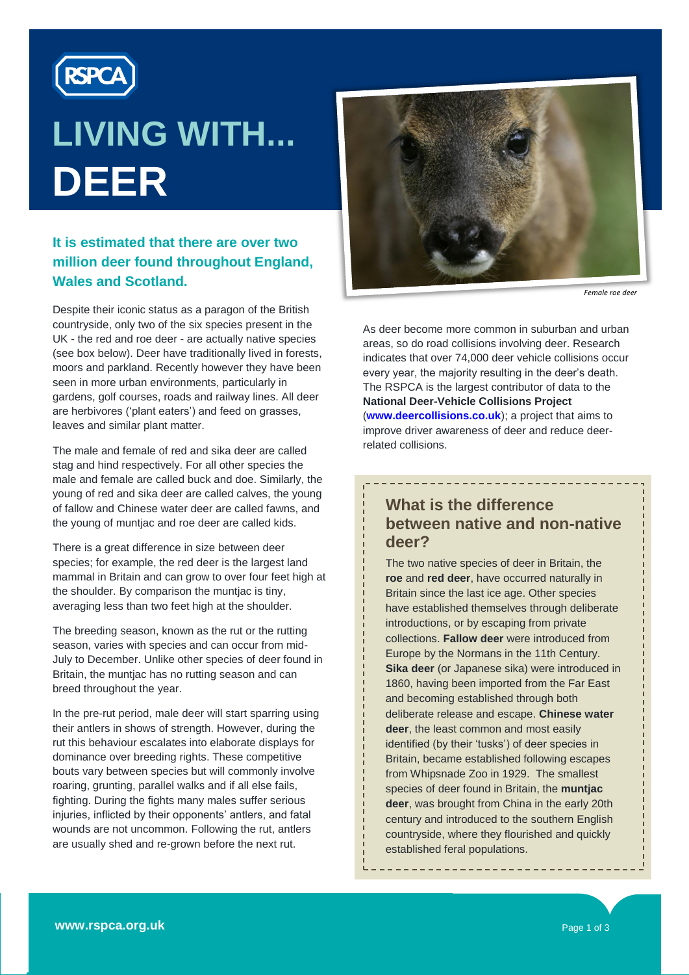

# **LIVING WITH... DEER**

# **It is estimated that there are over two million deer found throughout England, Wales and Scotland.**

Despite their iconic status as a paragon of the British countryside, only two of the six species present in the UK - the red and roe deer - are actually native species (see box below). Deer have traditionally lived in forests, moors and parkland. Recently however they have been seen in more urban environments, particularly in gardens, golf courses, roads and railway lines. All deer are herbivores ('plant eaters') and feed on grasses, leaves and similar plant matter.

The male and female of red and sika deer are called stag and hind respectively. For all other species the male and female are called buck and doe. Similarly, the young of red and sika deer are called calves, the young of fallow and Chinese water deer are called fawns, and the young of muntjac and roe deer are called kids.

There is a great difference in size between deer species; for example, the red deer is the largest land mammal in Britain and can grow to over four feet high at the shoulder. By comparison the muntjac is tiny, averaging less than two feet high at the shoulder.

The breeding season, known as the rut or the rutting season, varies with species and can occur from mid-July to December. Unlike other species of deer found in Britain, the muntjac has no rutting season and can breed throughout the year.

In the pre-rut period, male deer will start sparring using their antlers in shows of strength. However, during the rut this behaviour escalates into elaborate displays for dominance over breeding rights. These competitive bouts vary between species but will commonly involve roaring, grunting, parallel walks and if all else fails, fighting. During the fights many males suffer serious injuries, inflicted by their opponents' antlers, and fatal wounds are not uncommon. Following the rut, antlers are usually shed and re-grown before the next rut.



*Female roe deer*

As deer become more common in suburban and urban areas, so do road collisions involving deer. Research indicates that over 74,000 deer vehicle collisions occur every year, the majority resulting in the deer's death. The RSPCA is the largest contributor of data to the **National Deer-Vehicle Collisions Project** (**[www.deercollisions.co.uk](http://www.deercollisions.co.uk/)**); a project that aims to improve driver awareness of deer and reduce deerrelated collisions.

# **What is the difference between native and non-native deer?**

\_\_\_\_\_\_\_\_\_\_\_\_\_\_\_\_\_\_\_\_\_

The two native species of deer in Britain, the **roe** and **red deer**, have occurred naturally in Britain since the last ice age. Other species have established themselves through deliberate introductions, or by escaping from private collections. **Fallow deer** were introduced from Europe by the Normans in the 11th Century. **Sika deer** (or Japanese sika) were introduced in 1860, having been imported from the Far East and becoming established through both deliberate release and escape. **Chinese water deer**, the least common and most easily identified (by their "tusks") of deer species in Britain, became established following escapes from Whipsnade Zoo in 1929. The smallest species of deer found in Britain, the **muntjac deer**, was brought from China in the early 20th century and introduced to the southern English countryside, where they flourished and quickly established feral populations.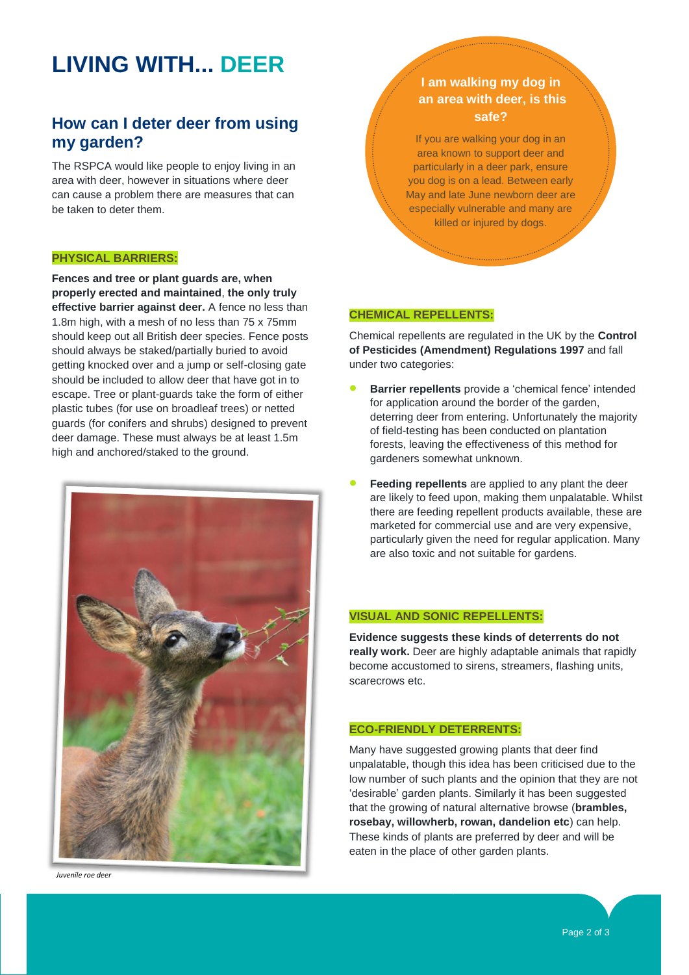# **LIVING WITH... DEER**

# **How can I deter deer from using my garden?**

The RSPCA would like people to enjoy living in an area with deer, however in situations where deer can cause a problem there are measures that can be taken to deter them.

#### **PHYSICAL BARRIERS:**

**Fences and tree or plant guards are, when properly erected and maintained**, **the only truly effective barrier against deer.** A fence no less than 1.8m high, with a mesh of no less than 75 x 75mm should keep out all British deer species. Fence posts should always be staked/partially buried to avoid getting knocked over and a jump or self-closing gate should be included to allow deer that have got in to escape. Tree or plant-guards take the form of either plastic tubes (for use on broadleaf trees) or netted guards (for conifers and shrubs) designed to prevent deer damage. These must always be at least 1.5m high and anchored/staked to the ground.



*Juvenile roe deer*

### **I am walking my dog in an area with deer, is this safe?**

If you are walking your dog in an area known to support deer and particularly in a deer park, ensure you dog is on a lead. Between early May and late June newborn deer are especially vulnerable and many are killed or injured by dogs.

#### **CHEMICAL REPELLENTS:**

Chemical repellents are regulated in the UK by the **Control of Pesticides (Amendment) Regulations 1997** and fall under two categories:

- **Barrier repellents** provide a 'chemical fence' intended for application around the border of the garden, deterring deer from entering. Unfortunately the majority of field-testing has been conducted on plantation forests, leaving the effectiveness of this method for gardeners somewhat unknown.
- **Feeding repellents** are applied to any plant the deer are likely to feed upon, making them unpalatable. Whilst there are feeding repellent products available, these are marketed for commercial use and are very expensive, particularly given the need for regular application. Many are also toxic and not suitable for gardens.

#### **VISUAL AND SONIC REPELLENTS:**

**Evidence suggests these kinds of deterrents do not really work.** Deer are highly adaptable animals that rapidly become accustomed to sirens, streamers, flashing units, scarecrows etc.

#### **ECO-FRIENDLY DETERRENTS:**

Many have suggested growing plants that deer find unpalatable, though this idea has been criticised due to the low number of such plants and the opinion that they are not "desirable" garden plants. Similarly it has been suggested that the growing of natural alternative browse (**brambles, rosebay, willowherb, rowan, dandelion etc**) can help. These kinds of plants are preferred by deer and will be eaten in the place of other garden plants.